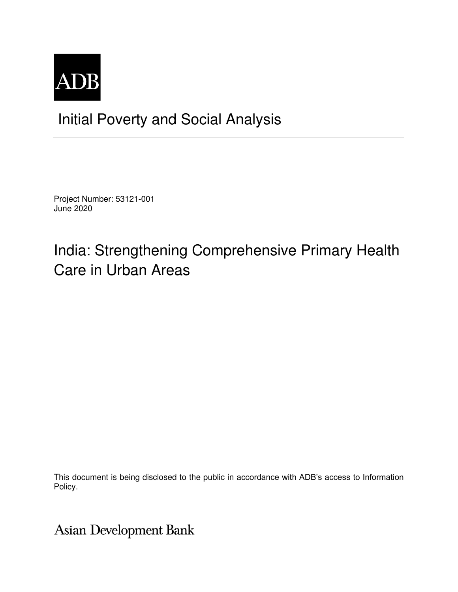

## Initial Poverty and Social Analysis

Project Number: 53121-001 June 2020

# India: Strengthening Comprehensive Primary Health Care in Urban Areas

This document is being disclosed to the public in accordance with ADB's access to Information Policy.

**Asian Development Bank**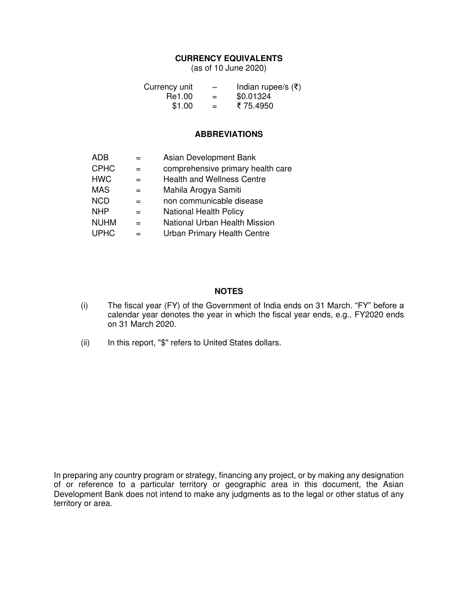### **CURRENCY EQUIVALENTS**

(as of 10 June 2020)

| Currency unit | $\overline{\phantom{m}}$ | Indian rupee/s $(\bar{\tau})$ |
|---------------|--------------------------|-------------------------------|
| Re1.00        | $=$                      | \$0.01324                     |
| \$1.00        | $=$                      | ₹75.4950                      |

#### **ABBREVIATIONS**

| ADB         |     | Asian Development Bank             |
|-------------|-----|------------------------------------|
| <b>CPHC</b> | $=$ | comprehensive primary health care  |
| <b>HWC</b>  | $=$ | <b>Health and Wellness Centre</b>  |
| <b>MAS</b>  |     | Mahila Arogya Samiti               |
| <b>NCD</b>  | =   | non communicable disease           |
| <b>NHP</b>  | =   | <b>National Health Policy</b>      |
| <b>NUHM</b> | $=$ | National Urban Health Mission      |
| <b>UPHC</b> | =   | <b>Urban Primary Health Centre</b> |

#### **NOTES**

- (i) The fiscal year (FY) of the Government of India ends on 31 March. "FY" before a calendar year denotes the year in which the fiscal year ends, e.g., FY2020 ends on 31 March 2020.
- (ii) In this report, "\$" refers to United States dollars.

In preparing any country program or strategy, financing any project, or by making any designation of or reference to a particular territory or geographic area in this document, the Asian Development Bank does not intend to make any judgments as to the legal or other status of any territory or area.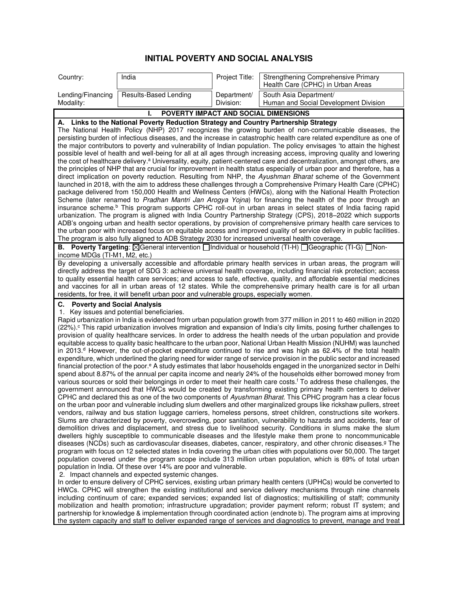### **INITIAL POVERTY AND SOCIAL ANALYSIS**

| Country:                                       | India                                                                                                                                                           | Project Title:           | Strengthening Comprehensive Primary<br>Health Care (CPHC) in Urban Areas                                                                                                                                                                                                                                                                                                                                                                                                                                                                                                                                                                                                                                                                                                                                                                                                                                                                                                                                                                                                                                                                                                                                                                                                                                                                                                                                                                                                                                                                                                                                                                                                                                                                                                                                                                                                                                                                                                                                                                                                                                                                                                                                                                                                                                                                                                                                                                                                        |
|------------------------------------------------|-----------------------------------------------------------------------------------------------------------------------------------------------------------------|--------------------------|---------------------------------------------------------------------------------------------------------------------------------------------------------------------------------------------------------------------------------------------------------------------------------------------------------------------------------------------------------------------------------------------------------------------------------------------------------------------------------------------------------------------------------------------------------------------------------------------------------------------------------------------------------------------------------------------------------------------------------------------------------------------------------------------------------------------------------------------------------------------------------------------------------------------------------------------------------------------------------------------------------------------------------------------------------------------------------------------------------------------------------------------------------------------------------------------------------------------------------------------------------------------------------------------------------------------------------------------------------------------------------------------------------------------------------------------------------------------------------------------------------------------------------------------------------------------------------------------------------------------------------------------------------------------------------------------------------------------------------------------------------------------------------------------------------------------------------------------------------------------------------------------------------------------------------------------------------------------------------------------------------------------------------------------------------------------------------------------------------------------------------------------------------------------------------------------------------------------------------------------------------------------------------------------------------------------------------------------------------------------------------------------------------------------------------------------------------------------------------|
| Lending/Financing<br>Modality:                 | Results-Based Lending                                                                                                                                           | Department/<br>Division: | South Asia Department/<br>Human and Social Development Division                                                                                                                                                                                                                                                                                                                                                                                                                                                                                                                                                                                                                                                                                                                                                                                                                                                                                                                                                                                                                                                                                                                                                                                                                                                                                                                                                                                                                                                                                                                                                                                                                                                                                                                                                                                                                                                                                                                                                                                                                                                                                                                                                                                                                                                                                                                                                                                                                 |
|                                                |                                                                                                                                                                 |                          | POVERTY IMPACT AND SOCIAL DIMENSIONS                                                                                                                                                                                                                                                                                                                                                                                                                                                                                                                                                                                                                                                                                                                                                                                                                                                                                                                                                                                                                                                                                                                                                                                                                                                                                                                                                                                                                                                                                                                                                                                                                                                                                                                                                                                                                                                                                                                                                                                                                                                                                                                                                                                                                                                                                                                                                                                                                                            |
|                                                | A. Links to the National Poverty Reduction Strategy and Country Partnership Strategy                                                                            |                          |                                                                                                                                                                                                                                                                                                                                                                                                                                                                                                                                                                                                                                                                                                                                                                                                                                                                                                                                                                                                                                                                                                                                                                                                                                                                                                                                                                                                                                                                                                                                                                                                                                                                                                                                                                                                                                                                                                                                                                                                                                                                                                                                                                                                                                                                                                                                                                                                                                                                                 |
|                                                | The program is also fully aligned to ADB Strategy 2030 for increased universal health coverage.                                                                 |                          | The National Health Policy (NHP) 2017 recognizes the growing burden of non-communicable diseases, the<br>persisting burden of infectious diseases, and the increase in catastrophic health care related expenditure as one of<br>the major contributors to poverty and vulnerability of Indian population. The policy envisages 'to attain the highest<br>possible level of health and well-being for all at all ages through increasing access, improving quality and lowering<br>the cost of healthcare delivery. <sup>a</sup> Universality, equity, patient-centered care and decentralization, amongst others, are<br>the principles of NHP that are crucial for improvement in health status especially of urban poor and therefore, has a<br>direct implication on poverty reduction. Resulting from NHP, the Ayushman Bharat scheme of the Government<br>launched in 2018, with the aim to address these challenges through a Comprehensive Primary Health Care (CPHC)<br>package delivered from 150,000 Health and Wellness Centers (HWCs), along with the National Health Protection<br>Scheme (later renamed to Pradhan Mantri Jan Arogya Yojna) for financing the health of the poor through an<br>insurance scheme. <sup>b</sup> This program supports CPHC roll-out in urban areas in select states of India facing rapid<br>urbanization. The program is aligned with India Country Partnership Strategy (CPS), 2018–2022 which supports<br>ADB's ongoing urban and health sector operations, by provision of comprehensive primary health care services to<br>the urban poor with increased focus on equitable access and improved quality of service delivery in public facilities.                                                                                                                                                                                                                                                                                                                                                                                                                                                                                                                                                                                                                                                                                                                                                                             |
| income MDGs (TI-M1, M2, etc.)                  |                                                                                                                                                                 |                          | B. Poverty Targeting: <b><i>NGeneral intervention Individual or household</i></b> (TI-H) <b><i>RGeographic</i></b> (TI-G) <b><i>Non-</i></b>                                                                                                                                                                                                                                                                                                                                                                                                                                                                                                                                                                                                                                                                                                                                                                                                                                                                                                                                                                                                                                                                                                                                                                                                                                                                                                                                                                                                                                                                                                                                                                                                                                                                                                                                                                                                                                                                                                                                                                                                                                                                                                                                                                                                                                                                                                                                    |
|                                                | residents, for free, it will benefit urban poor and vulnerable groups, especially women.                                                                        |                          | By developing a universally accessible and affordable primary health services in urban areas, the program will<br>directly address the target of SDG 3: achieve universal health coverage, including financial risk protection; access<br>to quality essential health care services; and access to safe, effective, quality, and affordable essential medicines<br>and vaccines for all in urban areas of 12 states. While the comprehensive primary health care is for all urban                                                                                                                                                                                                                                                                                                                                                                                                                                                                                                                                                                                                                                                                                                                                                                                                                                                                                                                                                                                                                                                                                                                                                                                                                                                                                                                                                                                                                                                                                                                                                                                                                                                                                                                                                                                                                                                                                                                                                                                               |
| <b>Poverty and Social Analysis</b><br>С.<br>1. | Key issues and potential beneficiaries.<br>population in India. Of these over 14% are poor and vulnerable.<br>2. Impact channels and expected systemic changes. |                          | Rapid urbanization in India is evidenced from urban population growth from 377 million in 2011 to 460 million in 2020<br>(22%). <sup>c</sup> This rapid urbanization involves migration and expansion of India's city limits, posing further challenges to<br>provision of quality healthcare services. In order to address the health needs of the urban population and provide<br>equitable access to quality basic healthcare to the urban poor, National Urban Health Mission (NUHM) was launched<br>in 2013. <sup>d</sup> However, the out-of-pocket expenditure continued to rise and was high as 62.4% of the total health<br>expenditure, which underlined the glaring need for wider range of service provision in the public sector and increased<br>financial protection of the poor. <sup>e</sup> A study estimates that labor households engaged in the unorganized sector in Delhi<br>spend about 8.87% of the annual per capita income and nearly 24% of the households either borrowed money from<br>various sources or sold their belongings in order to meet their health care costs. <sup>f</sup> To address these challenges, the<br>government announced that HWCs would be created by transforming existing primary health centers to deliver<br>CPHC and declared this as one of the two components of Ayushman Bharat. This CPHC program has a clear focus<br>on the urban poor and vulnerable including slum dwellers and other marginalized groups like rickshaw pullers, street<br>vendors, railway and bus station luggage carriers, homeless persons, street children, constructions site workers.<br>Slums are characterized by poverty, overcrowding, poor sanitation, vulnerability to hazards and accidents, fear of<br>demolition drives and displacement, and stress due to livelihood security. Conditions in slums make the slum<br>dwellers highly susceptible to communicable diseases and the lifestyle make them prone to noncommunicable<br>diseases (NCDs) such as cardiovascular diseases, diabetes, cancer, respiratory, and other chronic diseases. <sup>9</sup> The<br>program with focus on 12 selected states in India covering the urban cities with populations over 50,000. The target<br>population covered under the program scope include 313 million urban population, which is 69% of total urban<br>In order to ensure delivery of CPHC services, existing urban primary health centers (UPHCs) would be converted to |
|                                                |                                                                                                                                                                 |                          | HWCs. CPHC will strengthen the existing institutional and service delivery mechanisms through nine channels<br>including continuum of care; expanded services; expanded list of diagnostics; multiskilling of staff; community<br>mobilization and health promotion; infrastructure upgradation; provider payment reform; robust IT system; and                                                                                                                                                                                                                                                                                                                                                                                                                                                                                                                                                                                                                                                                                                                                                                                                                                                                                                                                                                                                                                                                                                                                                                                                                                                                                                                                                                                                                                                                                                                                                                                                                                                                                                                                                                                                                                                                                                                                                                                                                                                                                                                                 |

partnership for knowledge & implementation through coordinated action (endnote b). The program aims at improving the system capacity and staff to deliver expanded range of services and diagnostics to prevent, manage and treat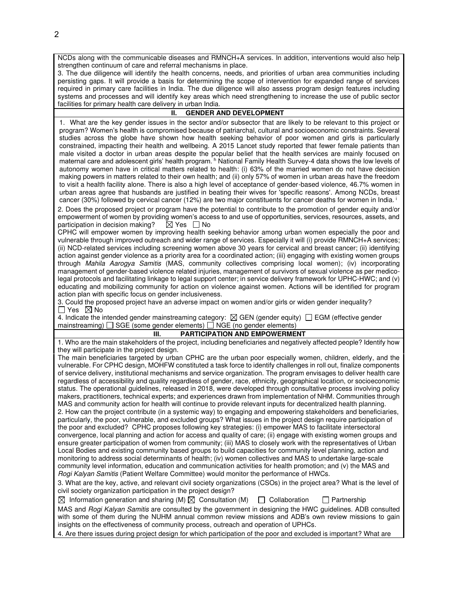NCDs along with the communicable diseases and RMNCH+A services. In addition, interventions would also help strengthen continuum of care and referral mechanisms in place.

3. The due diligence will identify the health concerns, needs, and priorities of urban area communities including persisting gaps. It will provide a basis for determining the scope of intervention for expanded range of services required in primary care facilities in India. The due diligence will also assess program design features including systems and processes and will identify key areas which need strengthening to increase the use of public sector facilities for primary health care delivery in urban India.

#### **II. GENDER AND DEVELOPMENT**

1. What are the key gender issues in the sector and/or subsector that are likely to be relevant to this project or program? Women's health is compromised because of patriarchal, cultural and socioeconomic constraints. Several studies across the globe have shown how health seeking behavior of poor women and girls is particularly constrained, impacting their health and wellbeing. A 2015 Lancet study reported that fewer female patients than male visited a doctor in urban areas despite the popular belief that the health services are mainly focused on maternal care and adolescent girls' health program. h National Family Health Survey-4 data shows the low levels of autonomy women have in critical matters related to health: (i) 63% of the married women do not have decision making powers in matters related to their own health; and (ii) only 57% of women in urban areas have the freedom to visit a health facility alone. There is also a high level of acceptance of gender-based violence, 46.7% women in urban areas agree that husbands are justified in beating their wives for 'specific reasons'. Among NCDs, breast cancer (30%) followed by cervical cancer (12%) are two major constituents for cancer deaths for women in India.<sup>i</sup>

2. Does the proposed project or program have the potential to contribute to the promotion of gender equity and/or empowerment of women by providing women's access to and use of opportunities, services, resources, assets, and participation in decision making?  $\boxtimes$  Yes  $\Box$  No participation in decision making?

CPHC will empower women by improving health seeking behavior among urban women especially the poor and vulnerable through improved outreach and wider range of services. Especially it will (i) provide RMNCH+A services; (ii) NCD-related services including screening women above 30 years for cervical and breast cancer; (ii) identifying action against gender violence as a priority area for a coordinated action; (iii) engaging with existing women groups through Mahila Aarogya Samitis (MAS, community collectives comprising local women); (iv) incorporating management of gender-based violence related injuries, management of survivors of sexual violence as per medicolegal protocols and facilitating linkage to legal support center; in service delivery framework for UPHC-HWC; and (v) educating and mobilizing community for action on violence against women. Actions will be identified for program action plan with specific focus on gender inclusiveness.

3. Could the proposed project have an adverse impact on women and/or girls or widen gender inequality?  $\Box$  Yes  $\boxtimes$  No

4. Indicate the intended gender mainstreaming category:  $\boxtimes$  GEN (gender equity)  $\Box$  EGM (effective gender mainstreaming)  $\Box$  SGE (some gender elements)  $\Box$  NGE (no gender elements)

#### **III. PARTICIPATION AND EMPOWERMENT**

1. Who are the main stakeholders of the project, including beneficiaries and negatively affected people? Identify how they will participate in the project design.

The main beneficiaries targeted by urban CPHC are the urban poor especially women, children, elderly, and the vulnerable. For CPHC design, MOHFW constituted a task force to identify challenges in roll out, finalize components of service delivery, institutional mechanisms and service organization. The program envisages to deliver health care regardless of accessibility and quality regardless of gender, race, ethnicity, geographical location, or socioeconomic status. The operational guidelines, released in 2018, were developed through consultative process involving policy makers, practitioners, technical experts; and experiences drawn from implementation of NHM. Communities through MAS and community action for health will continue to provide relevant inputs for decentralized health planning. 2. How can the project contribute (in a systemic way) to engaging and empowering stakeholders and beneficiaries, particularly, the poor, vulnerable, and excluded groups? What issues in the project design require participation of the poor and excluded? CPHC proposes following key strategies: (i) empower MAS to facilitate intersectoral convergence, local planning and action for access and quality of care; (ii) engage with existing women groups and ensure greater participation of women from community; (iii) MAS to closely work with the representatives of Urban Local Bodies and existing community based groups to build capacities for community level planning, action and monitoring to address social determinants of health; (iv) women collectives and MAS to undertake large-scale community level information, education and communication activities for health promotion; and (v) the MAS and Rogi Kalyan Samitis (Patient Welfare Committee) would monitor the performance of HWCs.

3. What are the key, active, and relevant civil society organizations (CSOs) in the project area? What is the level of civil society organization participation in the project design?

|  | $\boxtimes$ Information generation and sharing (M) $\boxtimes$ Consultation (M) $\Box$ Collaboration |  | Partnership                                                                                                       |  |
|--|------------------------------------------------------------------------------------------------------|--|-------------------------------------------------------------------------------------------------------------------|--|
|  |                                                                                                      |  | MAS and <i>Rogi Kalyan Samitis</i> are consulted by the government in designing the HWC guidelines. ADB consulted |  |
|  |                                                                                                      |  | with some of them during the NUHM annual common review missions and ADB's own review missions to gain             |  |
|  | insights on the effectiveness of community process, outreach and operation of UPHCs.                 |  |                                                                                                                   |  |

4. Are there issues during project design for which participation of the poor and excluded is important? What are